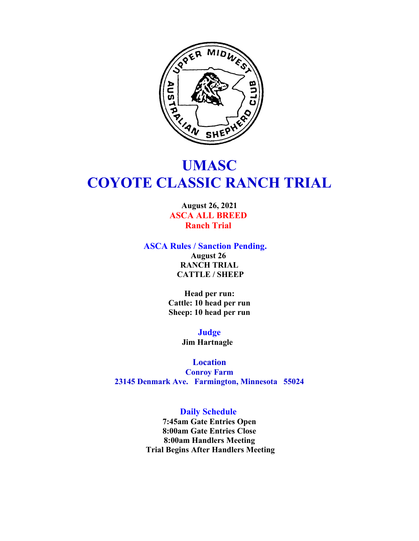

# **UMASC COYOTE CLASSIC RANCH TRIAL**

**August 26, 2021 ASCA ALL BREED Ranch Trial** 

**ASCA Rules / Sanction Pending.** 

**August 26 RANCH TRIAL CATTLE / SHEEP**

**Head per run: Cattle: 10 head per run Sheep: 10 head per run**

> **Judge Jim Hartnagle**

**Location Conroy Farm 23145 Denmark Ave. Farmington, Minnesota 55024**

# **Daily Schedule**

**7:45am Gate Entries Open 8:00am Gate Entries Close 8:00am Handlers Meeting Trial Begins After Handlers Meeting**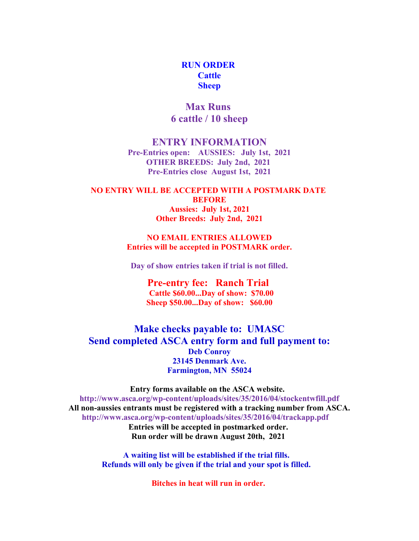# **RUN ORDER Cattle Sheep**

**Max Runs 6 cattle / 10 sheep**

## **ENTRY INFORMATION**

**Pre-Entries open: AUSSIES: July 1st, 2021 OTHER BREEDS: July 2nd, 2021 Pre-Entries close August 1st, 2021**

**NO ENTRY WILL BE ACCEPTED WITH A POSTMARK DATE BEFORE Aussies: July 1st, 2021 Other Breeds: July 2nd, 2021**

> **NO EMAIL ENTRIES ALLOWED Entries will be accepted in POSTMARK order.**

**Day of show entries taken if trial is not filled.**

**Pre-entry fee: Ranch Trial Cattle \$60.00...Day of show: \$70.00 Sheep \$50.00...Day of show: \$60.00**

**Make checks payable to: UMASC Send completed ASCA entry form and full payment to: Deb Conroy 23145 Denmark Ave. Farmington, MN 55024**

**Entry forms available on the ASCA website. http://www.asca.org/wp-content/uploads/sites/35/2016/04/stockentwfill.pdf All non-aussies entrants must be registered with a tracking number from ASCA. http://www.asca.org/wp-content/uploads/sites/35/2016/04/trackapp.pdf** 

 **Entries will be accepted in postmarked order. Run order will be drawn August 20th, 2021** 

**A waiting list will be established if the trial fills. Refunds will only be given if the trial and your spot is filled.** 

**Bitches in heat will run in order.**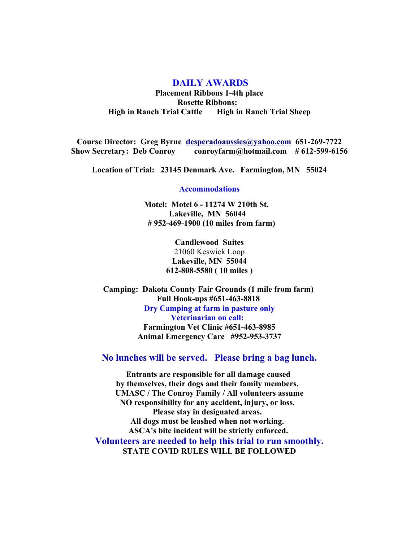## **DAILY AWARDS**

**Placement Ribbons 1-4th place Rosette Ribbons: High in Ranch Trial Cattle High in Ranch Trial Sheep**

**Course Director: Greg Byrne [desperadoaussies@yahoo.com](mailto:desperadoaussies@yahoo.com) 651-269-7722 Show Secretary: Deb Conroy conroyfarm@hotmail.com # 612-599-6156**

**Location of Trial: 23145 Denmark Ave. Farmington, MN 55024**

**Accommodations**

**Motel: Motel 6 - 11274 W 210th St. Lakeville, MN 56044 # 952-469-1900 (10 miles from farm)**

> **Candlewood Suites** 21060 Keswick Loop **Lakeville, MN 55044 612-808-5580 ( 10 miles )**

**Camping: Dakota County Fair Grounds (1 mile from farm) Full Hook-ups #651-463-8818 Dry Camping at farm in pasture only Veterinarian on call: Farmington Vet Clinic #651-463-8985 Animal Emergency Care #952-953-3737**

**No lunches will be served. Please bring a bag lunch.**

**Entrants are responsible for all damage caused by themselves, their dogs and their family members. UMASC / The Conroy Family / All volunteers assume NO responsibility for any accident, injury, or loss. Please stay in designated areas. All dogs must be leashed when not working. ASCA's bite incident will be strictly enforced. Volunteers are needed to help this trial to run smoothly. STATE COVID RULES WILL BE FOLLOWED**